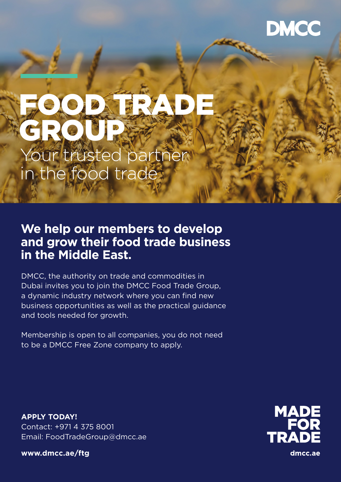# DMCC

# FOOD TRADE GROUP Your trusted partner in the food trade

# **We help our members to develop and grow their food trade business in the Middle East.**

DMCC, the authority on trade and commodities in Dubai invites you to join the DMCC Food Trade Group, a dynamic industry network where you can find new business opportunities as well as the practical guidance and tools needed for growth.

Membership is open to all companies, you do not need to be a DMCC Free Zone company to apply.

**APPLY TODAY!** Contact: +971 4 375 8001 Email: FoodTradeGroup@dmcc.ae

**www.dmcc.ae/ftg**



dmcc.ae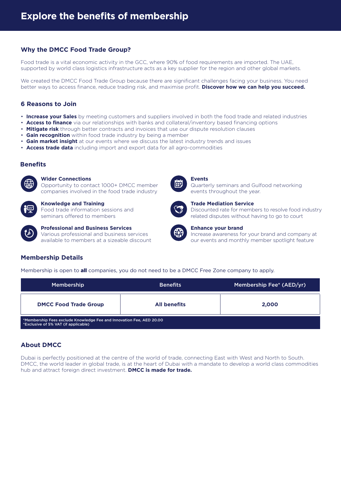# **Why the DMCC Food Trade Group?**

Food trade is a vital economic activity in the GCC, where 90% of food requirements are imported. The UAE, supported by world class logistics infrastructure acts as a key supplier for the region and other global markets.

We created the DMCC Food Trade Group because there are significant challenges facing your business. You need better ways to access finance, reduce trading risk, and maximise profit. **Discover how we can help you succeed.**

# **6 Reasons to Join**

- **Increase your Sales** by meeting customers and suppliers involved in both the food trade and related industries
- **Access to finance** via our relationships with banks and collateral/inventory based financing options
- **Mitigate risk** through better contracts and invoices that use our dispute resolution clauses
- **Gain recognition** within food trade industry by being a member
- **Gain market insight** at our events where we discuss the latest industry trends and issues
- **Access trade data** including import and export data for all agro-commodities

# **Benefits**



# **Wider Connections**

Opportunity to contact 1000+ DMCC member companies involved in the food trade industry

# **Knowledge and Training**

Food trade information sessions and seminars offered to members



# **Professional and Business Services** Various professional and business services available to members at a sizeable discount



# **Events**

Quarterly seminars and Gulfood networking events throughout the year.



# **Trade Mediation Service** Discounted rate for members to resolve food industry related disputes without having to go to court



# **Enhance your brand**

Increase awareness for your brand and company at our events and monthly member spotlight feature

# **Membership Details**

Membership is open to **all** companies, you do not need to be a DMCC Free Zone company to apply.

| <b>Membership</b>                                                                                            | <b>Benefits</b>     | Membership Fee* (AED/yr) |  |
|--------------------------------------------------------------------------------------------------------------|---------------------|--------------------------|--|
| <b>DMCC Food Trade Group</b>                                                                                 | <b>All benefits</b> | 2.000                    |  |
| *Membership Fees exclude Knowledge Fee and Innovation Fee, AED 20.00<br>*Exclusive of 5% VAT (if applicable) |                     |                          |  |

# **About DMCC**

Dubai is perfectly positioned at the centre of the world of trade, connecting East with West and North to South. DMCC, the world leader in global trade, is at the heart of Dubai with a mandate to develop a world class commodities hub and attract foreign direct investment. **DMCC is made for trade.**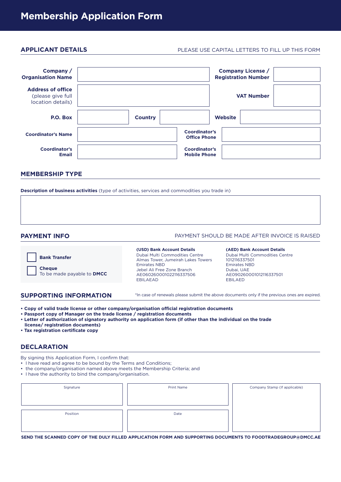# **APPLICANT DETAILS**

# PLEASE USE CAPITAL LETTERS TO FILL UP THIS FORM

| Company /<br><b>Organisation Name</b>                              |                |                                             | <b>Company License /</b><br><b>Registration Number</b> |  |
|--------------------------------------------------------------------|----------------|---------------------------------------------|--------------------------------------------------------|--|
| <b>Address of office</b><br>(please give full<br>location details) |                |                                             | <b>VAT Number</b>                                      |  |
| P.O. Box                                                           | <b>Country</b> |                                             | <b>Website</b>                                         |  |
| <b>Coordinator's Name</b>                                          |                | <b>Coordinator's</b><br><b>Office Phone</b> |                                                        |  |
| <b>Coordinator's</b><br><b>Email</b>                               |                | <b>Coordinator's</b><br><b>Mobile Phone</b> |                                                        |  |

# **MEMBERSHIP TYPE**

**Description of business activities** (type of activities, services and commodities you trade in)

**PAYMENT INFO**

# PAYMENT SHOULD BE MADE AFTER INVOICE IS RAISED



Dubai Multi Commodities Centre Almas Tower, Jumeirah Lakes Towers Emirates NBD Jebel Ali Free Zone Branch AE060260001022116337506 EBILAEAD **(USD) Bank Account Details**

Dubai Multi Commodities Centre 1012116337501 Emirates NBD Dubai, UAE AE090260001012116337501 EBILAED **(AED) Bank Account Details**

## **SUPPORTING INFORMATION**

\*In case of renewals please submit the above documents only if the previous ones are expired.

- **Copy of valid trade license or other company/organisation official registration documents**
- **Passport copy of Manager on the trade license / registration documents**
- **Letter of authorization of signatory authority on application form (if other than the individual on the trade**
- **license/ registration documents)**
- **Tax registration certificate copy**

# **DECLARATION**

By signing this Application Form, I confirm that:

- I have read and agree to be bound by the Terms and Conditions;
- the company/organisation named above meets the Membership Criteria; and
- I have the authority to bind the company/organisation.

| Signature | <b>Print Name</b> | Company Stamp (If applicable) |
|-----------|-------------------|-------------------------------|
|           |                   |                               |
|           |                   |                               |
| Position  | Date              |                               |
|           |                   |                               |
|           |                   |                               |

**SEND THE SCANNED COPY OF THE DULY FILLED APPLICATION FORM AND SUPPORTING DOCUMENTS TO FOODTRADEGROUP@DMCC.AE**